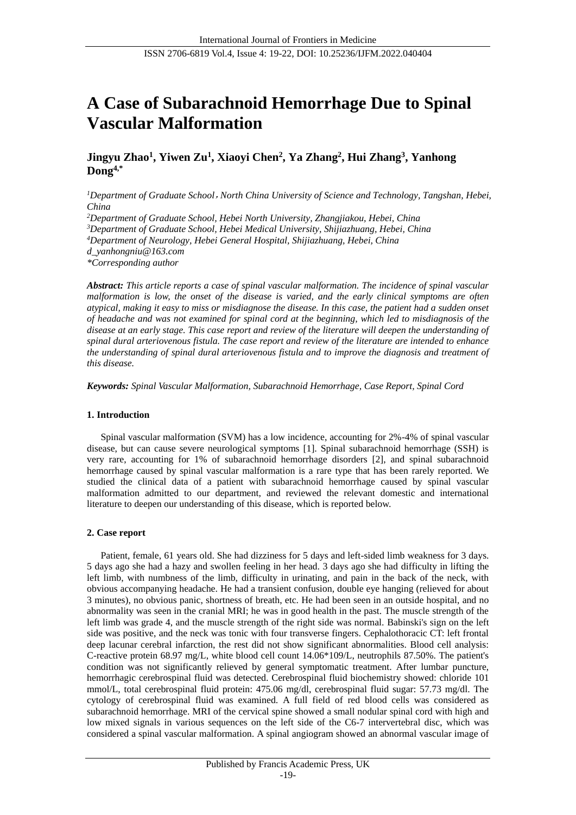# **A Case of Subarachnoid Hemorrhage Due to Spinal Vascular Malformation**

**Jingyu Zhao<sup>1</sup> , Yiwen Zu<sup>1</sup> , Xiaoyi Chen<sup>2</sup> , Ya Zhang<sup>2</sup> , Hui Zhang<sup>3</sup> , Yanhong Dong4,\***

*<sup>1</sup>Department of Graduate School*,*North China University of Science and Technology, Tangshan, Hebei, China*

*<sup>2</sup>Department of Graduate School, Hebei North University, Zhangjiakou, Hebei, China*

*<sup>3</sup>Department of Graduate School, Hebei Medical University, Shijiazhuang, Hebei, China*

*<sup>4</sup>Department of Neurology, Hebei General Hospital, Shijiazhuang, Hebei, China*

*d\_yanhongniu@163.com*

*\*Corresponding author*

*Abstract: This article reports a case of spinal vascular malformation. The incidence of spinal vascular malformation is low, the onset of the disease is varied, and the early clinical symptoms are often atypical, making it easy to miss or misdiagnose the disease. In this case, the patient had a sudden onset of headache and was not examined for spinal cord at the beginning, which led to misdiagnosis of the disease at an early stage. This case report and review of the literature will deepen the understanding of spinal dural arteriovenous fistula. The case report and review of the literature are intended to enhance the understanding of spinal dural arteriovenous fistula and to improve the diagnosis and treatment of this disease.*

*Keywords: Spinal Vascular Malformation, Subarachnoid Hemorrhage, Case Report, Spinal Cord*

# **1. Introduction**

Spinal vascular malformation (SVM) has a low incidence, accounting for 2%-4% of spinal vascular disease, but can cause severe neurological symptoms [1]. Spinal subarachnoid hemorrhage (SSH) is very rare, accounting for 1% of subarachnoid hemorrhage disorders [2], and spinal subarachnoid hemorrhage caused by spinal vascular malformation is a rare type that has been rarely reported. We studied the clinical data of a patient with subarachnoid hemorrhage caused by spinal vascular malformation admitted to our department, and reviewed the relevant domestic and international literature to deepen our understanding of this disease, which is reported below.

# **2. Case report**

Patient, female, 61 years old. She had dizziness for 5 days and left-sided limb weakness for 3 days. 5 days ago she had a hazy and swollen feeling in her head. 3 days ago she had difficulty in lifting the left limb, with numbness of the limb, difficulty in urinating, and pain in the back of the neck, with obvious accompanying headache. He had a transient confusion, double eye hanging (relieved for about 3 minutes), no obvious panic, shortness of breath, etc. He had been seen in an outside hospital, and no abnormality was seen in the cranial MRI; he was in good health in the past. The muscle strength of the left limb was grade 4, and the muscle strength of the right side was normal. Babinski's sign on the left side was positive, and the neck was tonic with four transverse fingers. Cephalothoracic CT: left frontal deep lacunar cerebral infarction, the rest did not show significant abnormalities. Blood cell analysis: C-reactive protein 68.97 mg/L, white blood cell count 14.06\*109/L, neutrophils 87.50%. The patient's condition was not significantly relieved by general symptomatic treatment. After lumbar puncture, hemorrhagic cerebrospinal fluid was detected. Cerebrospinal fluid biochemistry showed: chloride 101 mmol/L, total cerebrospinal fluid protein: 475.06 mg/dl, cerebrospinal fluid sugar: 57.73 mg/dl. The cytology of cerebrospinal fluid was examined. A full field of red blood cells was considered as subarachnoid hemorrhage. MRI of the cervical spine showed a small nodular spinal cord with high and low mixed signals in various sequences on the left side of the C6-7 intervertebral disc, which was considered a spinal vascular malformation. A spinal angiogram showed an abnormal vascular image of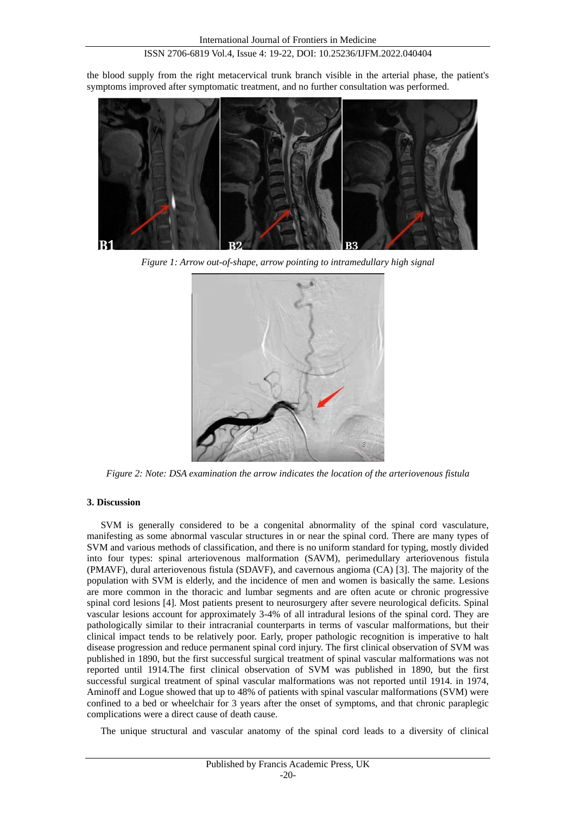# ISSN 2706-6819 Vol.4, Issue 4: 19-22, DOI: 10.25236/IJFM.2022.040404

the blood supply from the right metacervical trunk branch visible in the arterial phase, the patient's symptoms improved after symptomatic treatment, and no further consultation was performed.



*Figure 1: Arrow out-of-shape, arrow pointing to intramedullary high signal*



*Figure 2: Note: DSA examination the arrow indicates the location of the arteriovenous fistula*

#### **3. Discussion**

SVM is generally considered to be a congenital abnormality of the spinal cord vasculature, manifesting as some abnormal vascular structures in or near the spinal cord. There are many types of SVM and various methods of classification, and there is no uniform standard for typing, mostly divided into four types: spinal arteriovenous malformation (SAVM), perimedullary arteriovenous fistula (PMAVF), dural arteriovenous fistula (SDAVF), and cavernous angioma (CA) [3]. The majority of the population with SVM is elderly, and the incidence of men and women is basically the same. Lesions are more common in the thoracic and lumbar segments and are often acute or chronic progressive spinal cord lesions [4]. Most patients present to neurosurgery after severe neurological deficits. Spinal vascular lesions account for approximately 3-4% of all intradural lesions of the spinal cord. They are pathologically similar to their intracranial counterparts in terms of vascular malformations, but their clinical impact tends to be relatively poor. Early, proper pathologic recognition is imperative to halt disease progression and reduce permanent spinal cord injury. The first clinical observation of SVM was published in 1890, but the first successful surgical treatment of spinal vascular malformations was not reported until 1914.The first clinical observation of SVM was published in 1890, but the first successful surgical treatment of spinal vascular malformations was not reported until 1914. in 1974, Aminoff and Logue showed that up to 48% of patients with spinal vascular malformations (SVM) were confined to a bed or wheelchair for 3 years after the onset of symptoms, and that chronic paraplegic complications were a direct cause of death cause.

The unique structural and vascular anatomy of the spinal cord leads to a diversity of clinical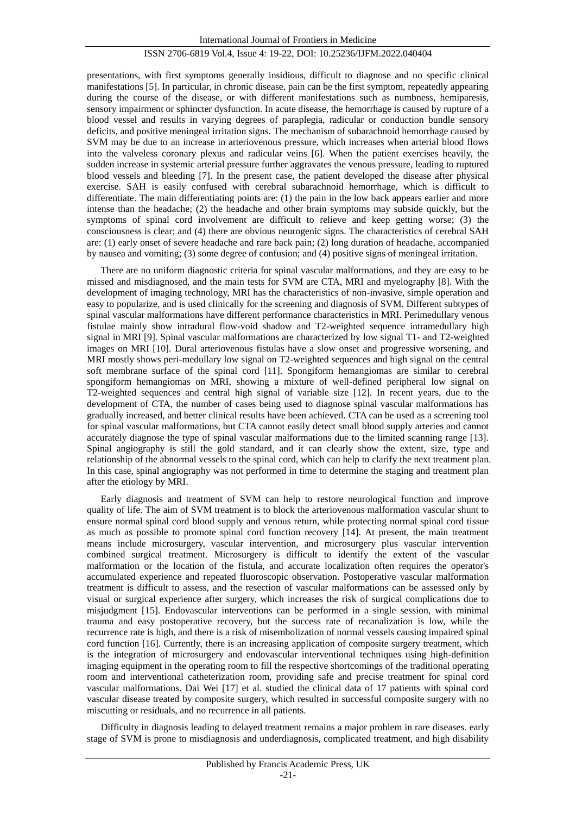# ISSN 2706-6819 Vol.4, Issue 4: 19-22, DOI: 10.25236/IJFM.2022.040404

presentations, with first symptoms generally insidious, difficult to diagnose and no specific clinical manifestations [5]. In particular, in chronic disease, pain can be the first symptom, repeatedly appearing during the course of the disease, or with different manifestations such as numbness, hemiparesis, sensory impairment or sphincter dysfunction. In acute disease, the hemorrhage is caused by rupture of a blood vessel and results in varying degrees of paraplegia, radicular or conduction bundle sensory deficits, and positive meningeal irritation signs. The mechanism of subarachnoid hemorrhage caused by SVM may be due to an increase in arteriovenous pressure, which increases when arterial blood flows into the valveless coronary plexus and radicular veins [6]. When the patient exercises heavily, the sudden increase in systemic arterial pressure further aggravates the venous pressure, leading to ruptured blood vessels and bleeding [7]. In the present case, the patient developed the disease after physical exercise. SAH is easily confused with cerebral subarachnoid hemorrhage, which is difficult to differentiate. The main differentiating points are: (1) the pain in the low back appears earlier and more intense than the headache; (2) the headache and other brain symptoms may subside quickly, but the symptoms of spinal cord involvement are difficult to relieve and keep getting worse; (3) the consciousness is clear; and (4) there are obvious neurogenic signs. The characteristics of cerebral SAH are: (1) early onset of severe headache and rare back pain; (2) long duration of headache, accompanied by nausea and vomiting; (3) some degree of confusion; and (4) positive signs of meningeal irritation.

There are no uniform diagnostic criteria for spinal vascular malformations, and they are easy to be missed and misdiagnosed, and the main tests for SVM are CTA, MRI and myelography [8]. With the development of imaging technology, MRI has the characteristics of non-invasive, simple operation and easy to popularize, and is used clinically for the screening and diagnosis of SVM. Different subtypes of spinal vascular malformations have different performance characteristics in MRI. Perimedullary venous fistulae mainly show intradural flow-void shadow and T2-weighted sequence intramedullary high signal in MRI [9]. Spinal vascular malformations are characterized by low signal T1- and T2-weighted images on MRI [10]. Dural arteriovenous fistulas have a slow onset and progressive worsening, and MRI mostly shows peri-medullary low signal on T2-weighted sequences and high signal on the central soft membrane surface of the spinal cord [11]. Spongiform hemangiomas are similar to cerebral spongiform hemangiomas on MRI, showing a mixture of well-defined peripheral low signal on T2-weighted sequences and central high signal of variable size [12]. In recent years, due to the development of CTA, the number of cases being used to diagnose spinal vascular malformations has gradually increased, and better clinical results have been achieved. CTA can be used as a screening tool for spinal vascular malformations, but CTA cannot easily detect small blood supply arteries and cannot accurately diagnose the type of spinal vascular malformations due to the limited scanning range [13]. Spinal angiography is still the gold standard, and it can clearly show the extent, size, type and relationship of the abnormal vessels to the spinal cord, which can help to clarify the next treatment plan. In this case, spinal angiography was not performed in time to determine the staging and treatment plan after the etiology by MRI.

Early diagnosis and treatment of SVM can help to restore neurological function and improve quality of life. The aim of SVM treatment is to block the arteriovenous malformation vascular shunt to ensure normal spinal cord blood supply and venous return, while protecting normal spinal cord tissue as much as possible to promote spinal cord function recovery [14]. At present, the main treatment means include microsurgery, vascular intervention, and microsurgery plus vascular intervention combined surgical treatment. Microsurgery is difficult to identify the extent of the vascular malformation or the location of the fistula, and accurate localization often requires the operator's accumulated experience and repeated fluoroscopic observation. Postoperative vascular malformation treatment is difficult to assess, and the resection of vascular malformations can be assessed only by visual or surgical experience after surgery, which increases the risk of surgical complications due to misjudgment [15]. Endovascular interventions can be performed in a single session, with minimal trauma and easy postoperative recovery, but the success rate of recanalization is low, while the recurrence rate is high, and there is a risk of misembolization of normal vessels causing impaired spinal cord function [16]. Currently, there is an increasing application of composite surgery treatment, which is the integration of microsurgery and endovascular interventional techniques using high-definition imaging equipment in the operating room to fill the respective shortcomings of the traditional operating room and interventional catheterization room, providing safe and precise treatment for spinal cord vascular malformations. Dai Wei [17] et al. studied the clinical data of 17 patients with spinal cord vascular disease treated by composite surgery, which resulted in successful composite surgery with no miscutting or residuals, and no recurrence in all patients.

Difficulty in diagnosis leading to delayed treatment remains a major problem in rare diseases. early stage of SVM is prone to misdiagnosis and underdiagnosis, complicated treatment, and high disability